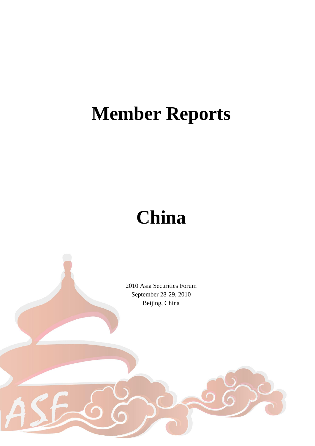# **Member Reports**

# **China**



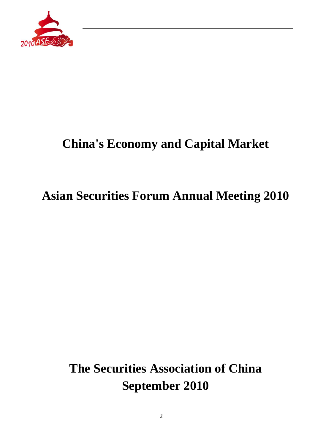

## **Asian Securities Forum Annual Meeting 2010**

## **The Securities Association of China September 2010**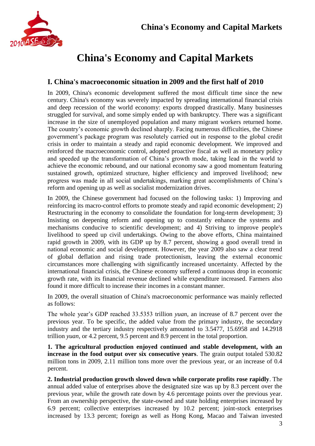

## **I. China's macroeconomic situation in 2009 and the first half of 2010**

In 2009, China's economic development suffered the most difficult time since the new century. China's economy was severely impacted by spreading international financial crisis and deep recession of the world economy: exports dropped drastically. Many businesses struggled for survival, and some simply ended up with bankruptcy. There was a significant increase in the size of unemployed population and many migrant workers returned home. The country's economic growth declined sharply. Facing numerous difficulties, the Chinese government's package program was resolutely carried out in response to the global credit crisis in order to maintain a steady and rapid economic development. We improved and reinforced the macroeconomic control, adopted proactive fiscal as well as monetary policy and speeded up the transformation of China's growth mode, taking lead in the world to achieve the economic rebound, and our national economy saw a good momentum featuring sustained growth, optimized structure, higher efficiency and improved livelihood; new progress was made in all social undertakings, marking great accomplishments of China's reform and opening up as well as socialist modernization drives.

In 2009, the Chinese government had focused on the following tasks: 1) Improving and reinforcing its macro-control efforts to promote steady and rapid economic development; 2) Restructuring in the economy to consolidate the foundation for long-term development; 3) Insisting on deepening reform and opening up to constantly enhance the systems and mechanisms conducive to scientific development; and 4) Striving to improve people's livelihood to speed up civil undertakings. Owing to the above efforts, China maintained rapid growth in 2009, with its GDP up by 8.7 percent, showing a good overall trend in national economic and social development. However, the year 2009 also saw a clear trend of global deflation and rising trade protectionism, leaving the external economic circumstances more challenging with significantly increased uncertainty. Affected by the international financial crisis, the Chinese economy suffered a continuous drop in economic growth rate, with its financial revenue declined while expenditure increased. Farmers also found it more difficult to increase their incomes in a constant manner.

In 2009, the overall situation of China's macroeconomic performance was mainly reflected as follows:

The whole year's GDP reached 33.5353 trillion *yuan*, an increase of 8.7 percent over the previous year. To be specific, the added value from the primary industry, the secondary industry and the tertiary industry respectively amounted to 3.5477, 15.6958 and 14.2918 trillion *yuan*, or 4.2 percent, 9.5 percent and 8.9 percent in the total proportion.

**1. The agricultural production enjoyed continued and stable development, with an increase in the food output over six consecutive years**. The grain output totaled 530.82 million tons in 2009, 2.11 million tons more over the previous year, or an increase of 0.4 percent.

**2. Industrial production growth slowed down while corporate profits rose rapidly**. The annual added value of enterprises above the designated size was up by 8.3 percent over the previous year, while the growth rate down by 4.6 percentage points over the previous year. From an ownership perspective, the state-owned and state holding enterprises increased by 6.9 percent; collective enterprises increased by 10.2 percent; joint-stock enterprises increased by 13.3 percent; foreign as well as Hong Kong, Macao and Taiwan invested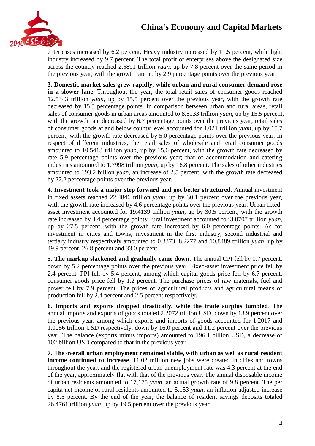

enterprises increased by 6.2 percent. Heavy industry increased by 11.5 percent, while light industry increased by 9.7 percent. The total profit of enterprises above the designated size across the country reached 2.5891 trillion *yuan*, up by 7.8 percent over the same period in the previous year, with the growth rate up by 2.9 percentage points over the previous year.

**3. Domestic market sales grew rapidly, while urban and rural consumer demand rose in a slower lane**. Throughout the year, the total retail sales of consumer goods reached 12.5343 trillion *yuan*, up by 15.5 percent over the previous year, with the growth rate decreased by 15.5 percentage points. In comparison between urban and rural areas, retail sales of consumer goods in urban areas amounted to 8.5133 trillion *yuan*, up by 15.5 percent, with the growth rate decreased by 6.7 percentage points over the previous year; retail sales of consumer goods at and below county level accounted for 4.021 trillion *yuan*, up by 15.7 percent, with the growth rate decreased by 5.0 percentage points over the previous year. In respect of different industries, the retail sales of wholesale and retail consumer goods amounted to 10.5413 trillion *yuan*, up by 15.6 percent, with the growth rate decreased by rate 5.9 percentage points over the previous year; that of accommodation and catering industries amounted to 1.7998 trillion *yuan*, up by 16.8 percent. The sales of other industries amounted to 193.2 billion *yuan*, an increase of 2.5 percent, with the growth rate decreased by 22.2 percentage points over the previous year.

**4. Investment took a major step forward and got better structured**. Annual investment in fixed assets reached 22.4846 trillion *yuan*, up by 30.1 percent over the previous year, with the growth rate increased by 4.6 percentage points over the previous year. Urban fixedasset investment accounted for 19.4139 trillion *yuan*, up by 30.5 percent, with the growth rate increased by 4.4 percentage points; rural investment accounted for 3.0707 trillion *yuan*, up by 27.5 percent, with the growth rate increased by 6.0 percentage points. As for investment in cities and towns, investment in the first industry, second industrial and tertiary industry respectively amounted to 0.3373, 8.2277 and 10.8489 trillion *yuan*, up by 49.9 percent, 26.8 percent and 33.0 percent.

**5. The markup slackened and gradually came down**. The annual CPI fell by 0.7 percent, down by 5.2 percentage points over the previous year. Fixed-asset investment price fell by 2.4 percent. PPI fell by 5.4 percent, among which capital goods price fell by 6.7 percent, consumer goods price fell by 1.2 percent. The purchase prices of raw materials, fuel and power fell by 7.9 percent. The prices of agricultural products and agricultural means of production fell by 2.4 percent and 2.5 percent respectively.

**6. Imports and exports dropped drastically, while the trade surplus tumbled**. The annual imports and exports of goods totaled 2.2072 trillion USD, down by 13.9 percent over the previous year, among which exports and imports of goods accounted for 1.2017 and 1.0056 trillion USD respectively, down by 16.0 percent and 11.2 percent over the previous year. The balance (exports minus imports) amounted to 196.1 billion USD, a decrease of 102 billion USD compared to that in the previous year.

**7. The overall urban employment remained stable, with urban as well as rural resident income continued to increase**. 11.02 million new jobs were created in cities and towns throughout the year, and the registered urban unemployment rate was 4.3 percent at the end of the year, approximately flat with that of the previous year. The annual disposable income of urban residents amounted to 17,175 *yuan*, an actual growth rate of 9.8 percent. The per capita net income of rural residents amounted to 5,153 *yuan*, an inflation-adjusted increase by 8.5 percent. By the end of the year, the balance of resident savings deposits totaled 26.4761 trillion *yuan*, up by 19.5 percent over the previous year.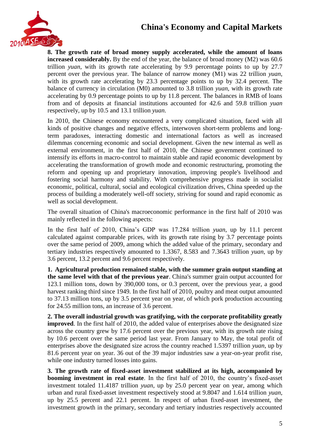

**8. The growth rate of broad money supply accelerated, while the amount of loans increased considerably.** By the end of the year, the balance of broad money (M2) was 60.6 trillion *yuan*, with its growth rate accelerating by 9.9 percentage points to up by 27.7 percent over the previous year. The balance of narrow money (M1) was 22 trillion *yuan*, with its growth rate accelerating by 23.3 percentage points to up by 32.4 percent. The balance of currency in circulation (M0) amounted to 3.8 trillion *yuan*, with its growth rate accelerating by 0.9 percentage points to up by 11.8 percent. The balances in RMB of loans from and of deposits at financial institutions accounted for 42.6 and 59.8 trillion *yuan* respectively, up by 10.5 and 13.1 trillion *yuan*.

In 2010, the Chinese economy encountered a very complicated situation, faced with all kinds of positive changes and negative effects, interwoven short-term problems and longterm paradoxes, interacting domestic and international factors as well as increased dilemmas concerning economic and social development. Given the new internal as well as external environment, in the first half of 2010, the Chinese government continued to intensify its efforts in macro-control to maintain stable and rapid economic development by accelerating the transformation of growth mode and economic restructuring, promoting the reform and opening up and proprietary innovation, improving people's livelihood and fostering social harmony and stability. With comprehensive progress made in socialist economic, political, cultural, social and ecological civilization drives, China speeded up the process of building a moderately well-off society, striving for sound and rapid economic as well as social development.

The overall situation of China's macroeconomic performance in the first half of 2010 was mainly reflected in the following aspects:

In the first half of 2010, China's GDP was 17.284 trillion *yuan*, up by 11.1 percent calculated against comparable prices, with its growth rate rising by 3.7 percentage points over the same period of 2009, among which the added value of the primary, secondary and tertiary industries respectively amounted to 1.3367, 8.583 and 7.3643 trillion *yuan*, up by 3.6 percent, 13.2 percent and 9.6 percent respectively.

**1. Agricultural production remained stable, with the summer grain output standing at the same level with that of the previous year**. China's summer grain output accounted for 123.1 million tons, down by 390,000 tons, or 0.3 percent, over the previous year, a good harvest ranking third since 1949. In the first half of 2010, poultry and meat output amounted to 37.13 million tons, up by 3.5 percent year on year, of which pork production accounting for 24.55 million tons, an increase of 3.6 percent.

**2. The overall industrial growth was gratifying, with the corporate profitability greatly improved**. In the first half of 2010, the added value of enterprises above the designated size across the country grew by 17.6 percent over the previous year, with its growth rate rising by 10.6 percent over the same period last year. From January to May, the total profit of enterprises above the designated size across the country reached 1.5397 trillion *yuan*, up by 81.6 percent year on year. 36 out of the 39 major industries saw a year-on-year profit rise, while one industry turned losses into gains.

**3. The growth rate of fixed-asset investment stabilized at its high, accompanied by booming investment in real estate**. In the first half of 2010, the country's fixed-asset investment totaled 11.4187 trillion *yuan*, up by 25.0 percent year on year, among which urban and rural fixed-asset investment respectively stood at 9.8047 and 1.614 trillion *yuan*, up by 25.5 percent and 22.1 percent. In respect of urban fixed-asset investment, the investment growth in the primary, secondary and tertiary industries respectively accounted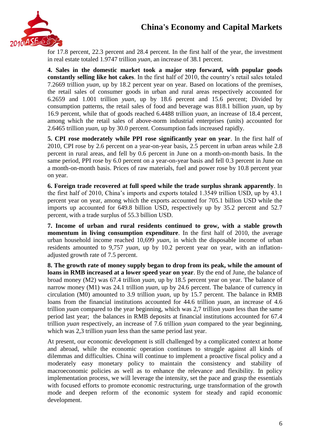

for 17.8 percent, 22.3 percent and 28.4 percent. In the first half of the year, the investment in real estate totaled 1.9747 trillion *yuan*, an increase of 38.1 percent.

**4. Sales in the domestic market took a major step forward, with popular goods constantly selling like hot cakes**. In the first half of 2010, the country's retail sales totaled 7.2669 trillion *yuan*, up by 18.2 percent year on year. Based on locations of the premises, the retail sales of consumer goods in urban and rural areas respectively accounted for 6.2659 and 1.001 trillion *yuan*, up by 18.6 percent and 15.6 percent; Divided by consumption patterns, the retail sales of food and beverage was 818.1 billion *yuan*, up by 16.9 percent, while that of goods reached 6.4488 trillion *yuan*, an increase of 18.4 percent, among which the retail sales of above-norm industrial enterprises (units) accounted for 2.6465 trillion *yuan*, up by 30.0 percent. Consumption fads increased rapidly.

**5. CPI rose moderately while PPI rose significantly year on year**. In the first half of 2010, CPI rose by 2.6 percent on a year-on-year basis, 2.5 percent in urban areas while 2.8 percent in rural areas, and fell by 0.6 percent in June on a month-on-month basis. In the same period, PPI rose by 6.0 percent on a year-on-year basis and fell 0.3 percent in June on a month-on-month basis. Prices of raw materials, fuel and power rose by 10.8 percent year on year.

**6. Foreign trade recovered at full speed while the trade surplus shrank apparently**. In the first half of 2010, China's imports and exports totaled 1.3549 trillion USD, up by 43.1 percent year on year, among which the exports accounted for 705.1 billion USD while the imports up accounted for 649.8 billion USD, respectively up by 35.2 percent and 52.7 percent, with a trade surplus of 55.3 billion USD.

**7. Income of urban and rural residents continued to grow, with a stable growth momentum in living consumption expenditure**. In the first half of 2010, the average urban household income reached 10,699 *yuan*, in which the disposable income of urban residents amounted to 9,757 *yuan*, up by 10.2 percent year on year, with an inflationadjusted growth rate of 7.5 percent.

**8. The growth rate of money supply began to drop from its peak, while the amount of loans in RMB increased at a lower speed year on year**. By the end of June, the balance of broad money (M2) was 67.4 trillion *yuan*, up by 18.5 percent year on year. The balance of narrow money (M1) was 24.1 trillion *yuan*, up by 24.6 percent. The balance of currency in circulation (M0) amounted to 3.9 trillion *yuan*, up by 15.7 percent. The balance in RMB loans from the financial institutions accounted for 44.6 trillion *yuan*, an increase of 4.6 trillion *yuan* compared to the year beginning, which was 2,7 trillion *yuan* less than the same period last year; the balances in RMB deposits at financial institutions accounted for 67.4 trillion *yuan* respectively, an increase of 7.6 trillion *yuan* compared to the year beginning, which was 2,3 trillion *yuan* less than the same period last year.

At present, our economic development is still challenged by a complicated context at home and abroad, while the economic operation continues to struggle against all kinds of dilemmas and difficulties. China will continue to implement a proactive fiscal policy and a moderately easy monetary policy to maintain the consistency and stability of macroeconomic policies as well as to enhance the relevance and flexibility. In policy implementation process, we will leverage the intensity, set the pace and grasp the essentials with focused efforts to promote economic restructuring, urge transformation of the growth mode and deepen reform of the economic system for steady and rapid economic development.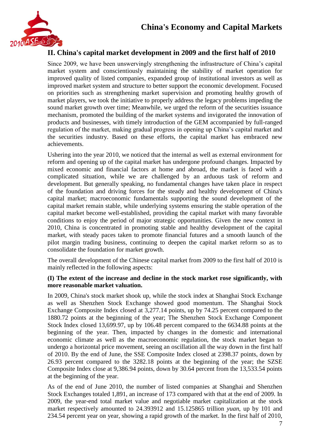

## **II. China's capital market development in 2009 and the first half of 2010**

Since 2009, we have been unswervingly strengthening the infrastructure of China's capital market system and conscientiously maintaining the stability of market operation for improved quality of listed companies, expanded group of institutional investors as well as improved market system and structure to better support the economic development. Focused on priorities such as strengthening market supervision and promoting healthy growth of market players, we took the initiative to properly address the legacy problems impeding the sound market growth over time; Meanwhile, we urged the reform of the securities issuance mechanism, promoted the building of the market systems and invigorated the innovation of products and businesses, with timely introduction of the GEM accompanied by full-ranged regulation of the market, making gradual progress in opening up China's capital market and the securities industry. Based on these efforts, the capital market has embraced new achievements.

Ushering into the year 2010, we noticed that the internal as well as external environment for reform and opening up of the capital market has undergone profound changes. Impacted by mixed economic and financial factors at home and abroad, the market is faced with a complicated situation, while we are challenged by an arduous task of reform and development. But generally speaking, no fundamental changes have taken place in respect of the foundation and driving forces for the steady and healthy development of China's capital market; macroeconomic fundamentals supporting the sound development of the capital market remain stable, while underlying systems ensuring the stable operation of the capital market become well-established, providing the capital market with many favorable conditions to enjoy the period of major strategic opportunities. Given the new context in 2010, China is concentrated in promoting stable and healthy development of the capital market, with steady paces taken to promote financial futures and a smooth launch of the pilot margin trading business, continuing to deepen the capital market reform so as to consolidate the foundation for market growth.

The overall development of the Chinese capital market from 2009 to the first half of 2010 is mainly reflected in the following aspects:

### **(I) The extent of the increase and decline in the stock market rose significantly, with more reasonable market valuation.**

In 2009, China's stock market shook up, while the stock index at Shanghai Stock Exchange as well as Shenzhen Stock Exchange showed good momentum. The Shanghai Stock Exchange Composite Index closed at 3,277.14 points, up by 74.25 percent compared to the 1880.72 points at the beginning of the year; The Shenzhen Stock Exchange Component Stock Index closed 13,699.97, up by 106.48 percent compared to the 6634.88 points at the beginning of the year. Then, impacted by changes in the domestic and international economic climate as well as the macroeconomic regulation, the stock market began to undergo a horizontal price movement, seeing an oscillation all the way down in the first half of 2010. By the end of June, the SSE Composite Index closed at 2398.37 points, down by 26.93 percent compared to the 3282.18 points at the beginning of the year; the SZSE Composite Index close at 9,386.94 points, down by 30.64 percent from the 13,533.54 points at the beginning of the year.

As of the end of June 2010, the number of listed companies at Shanghai and Shenzhen Stock Exchanges totaled 1,891, an increase of 173 compared with that at the end of 2009. In 2009, the year-end total market value and negotiable market capitalization at the stock market respectively amounted to 24.393912 and 15.125865 trillion *yuan*, up by 101 and 234.54 percent year on year, showing a rapid growth of the market. In the first half of 2010,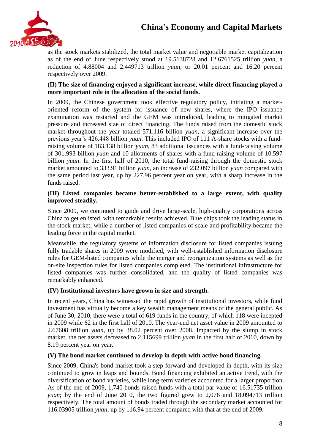

as the stock markets stabilized, the total market value and negotiable market capitalization as of the end of June respectively stood at 19.5138728 and 12.6761525 trillion *yuan*, a reduction of 4.88004 and 2.449713 trillion *yuan*, or 20.01 percent and 16.20 percent respectively over 2009.

### **(II) The size of financing enjoyed a significant increase, while direct financing played a more important role in the allocation of the social funds.**

In 2009, the Chinese government took effective regulatory policy, initiating a marketoriented reform of the system for issuance of new shares, where the IPO issuance examination was restarted and the GEM was introduced, leading to mitigated market pressure and increased size of direct financing. The funds raised from the domestic stock market throughout the year totaled 571.116 billion *yuan*, a significant increase over the previous year's 426.448 billion *yuan*. This included IPO of 111 A-share stocks with a fundraising volume of 183.138 billion *yuan*, 83 additional issuances with a fund-raising volume of 301.993 billion *yuan* and 10 allotments of shares with a fund-raising volume of 10.597 billion *yuan*. In the first half of 2010, the total fund-raising through the domestic stock market amounted to 333.91 billion *yuan*, an increase of 232.097 billion *yuan* compared with the same period last year, up by 227.96 percent year on year, with a sharp increase in the funds raised.

#### **(III) Listed companies became better-established to a large extent, with quality improved steadily.**

Since 2009, we continued to guide and drive large-scale, high-quality corporations across China to get enlisted, with remarkable results achieved. Blue chips took the leading status in the stock market, while a number of listed companies of scale and profitability became the leading force in the capital market.

Meanwhile, the regulatory systems of information disclosure for listed companies issuing fully tradable shares in 2009 were modified, with well-established information disclosure rules for GEM-listed companies while the merger and reorganization systems as well as the on-site inspection rules for listed companies completed. The institutional infrastructure for listed companies was further consolidated, and the quality of listed companies was remarkably enhanced.

### **(IV) Institutional investors have grown in size and strength.**

In recent years, China has witnessed the rapid growth of institutional investors, while fund investment has virtually become a key wealth management means of the general public. As of June 30, 2010, there were a total of 619 funds in the country, of which 118 were incepted in 2009 while 62 in the first half of 2010. The year-end net asset value in 2009 amounted to 2.67608 trillion *yuan*, up by 38.02 percent over 2008. Impacted by the slump in stock market, the net assets decreased to 2.115699 trillion *yuan* in the first half of 2010, down by 8.19 percent year on year.

#### **(V) The bond market continued to develop in depth with active bond financing.**

Since 2009, China's bond market took a step forward and developed in depth, with its size continued to grow in leaps and bounds. Bond financing exhibited an active trend, with the diversification of bond varieties, while long-term varieties accounted for a larger proportion. As of the end of 2009, 1,740 bonds raised funds with a total par value of 16.51735 trillion *yuan*; by the end of June 2010, the two figured grew to 2,076 and 18.094713 trillion respectively. The total amount of bonds traded through the secondary market accounted for 116.03905 trillion *yuan*, up by 116.94 percent compared with that at the end of 2009.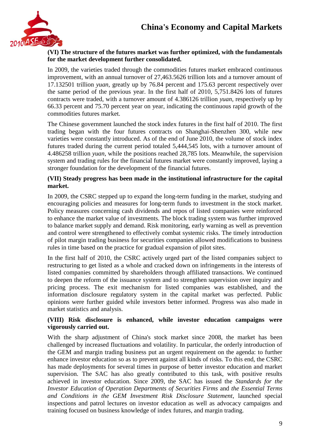

#### **(VI) The structure of the futures market was further optimized, with the fundamentals for the market development further consolidated.**

In 2009, the varieties traded through the commodities futures market embraced continuous improvement, with an annual turnover of 27,463.5626 trillion lots and a turnover amount of 17.132501 trillion *yuan*, greatly up by 76.84 percent and 175.63 percent respectively over the same period of the previous year. In the first half of 2010, 5,751.8426 lots of futures contracts were traded, with a turnover amount of 4.386126 trillion *yuan*, respectively up by 66.33 percent and 75.70 percent year on year, indicating the continuous rapid growth of the commodities futures market.

The Chinese government launched the stock index futures in the first half of 2010. The first trading began with the four futures contracts on Shanghai-Shenzhen 300, while new varieties were constantly introduced. As of the end of June 2010, the volume of stock index futures traded during the current period totaled 5,444,545 lots, with a turnover amount of 4.486258 trillion *yuan*, while the positions reached 28,785 lots. Meanwhile, the supervision system and trading rules for the financial futures market were constantly improved, laying a stronger foundation for the development of the financial futures.

#### **(VII) Steady progress has been made in the institutional infrastructure for the capital market.**

In 2009, the CSRC stepped up to expand the long-term funding in the market, studying and encouraging policies and measures for long-term funds to investment in the stock market. Policy measures concerning cash dividends and repos of listed companies were reinforced to enhance the market value of investments. The block trading system was further improved to balance market supply and demand. Risk monitoring, early warning as well as prevention and control were strengthened to effectively combat systemic risks. The timely introduction of pilot margin trading business for securities companies allowed modifications to business rules in time based on the practice for gradual expansion of pilot sites.

In the first half of 2010, the CSRC actively urged part of the listed companies subject to restructuring to get listed as a whole and cracked down on infringements in the interests of listed companies committed by shareholders through affiliated transactions. We continued to deepen the reform of the issuance system and to strengthen supervision over inquiry and pricing process. The exit mechanism for listed companies was established, and the information disclosure regulatory system in the capital market was perfected. Public opinions were further guided while investors better informed. Progress was also made in market statistics and analysis.

### **(VIII) Risk disclosure is enhanced, while investor education campaigns were vigorously carried out.**

With the sharp adjustment of China's stock market since 2008, the market has been challenged by increased fluctuations and volatility. In particular, the orderly introduction of the GEM and margin trading business put an urgent requirement on the agenda: to further enhance investor education so as to prevent against all kinds of risks. To this end, the CSRC has made deployments for several times in purpose of better investor education and market supervision. The SAC has also greatly contributed to this task, with positive results achieved in investor education. Since 2009, the SAC has issued the *Standards for the Investor Education of Operation Departments of Securities Firms* and *the Essential Terms and Conditions in the GEM Investment Risk Disclosure Statement*, launched special inspections and patrol lectures on investor education as well as advocacy campaigns and training focused on business knowledge of index futures, and margin trading.